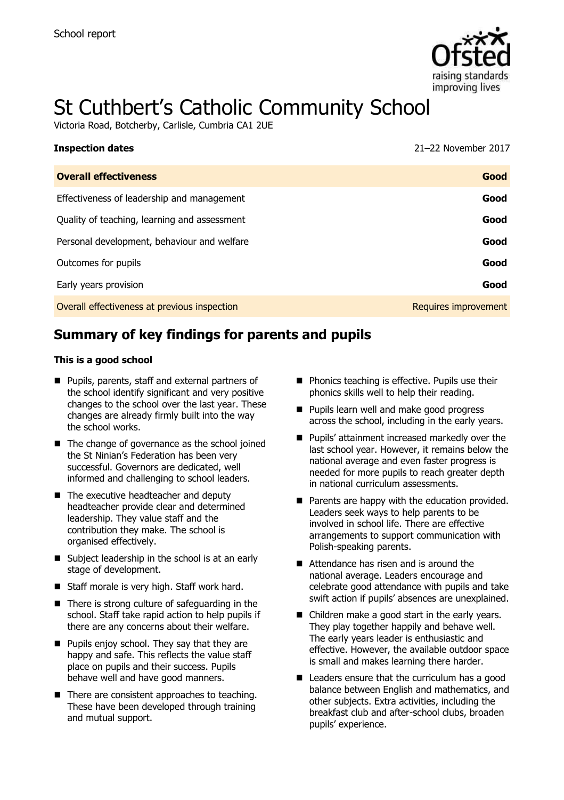

# St Cuthbert's Catholic Community School

Victoria Road, Botcherby, Carlisle, Cumbria CA1 2UE

| <b>Inspection dates</b>                      | 21-22 November 2017  |
|----------------------------------------------|----------------------|
| <b>Overall effectiveness</b>                 | Good                 |
| Effectiveness of leadership and management   | Good                 |
| Quality of teaching, learning and assessment | Good                 |
| Personal development, behaviour and welfare  | Good                 |
| Outcomes for pupils                          | Good                 |
| Early years provision                        | Good                 |
| Overall effectiveness at previous inspection | Requires improvement |

# **Summary of key findings for parents and pupils**

#### **This is a good school**

- **Pupils, parents, staff and external partners of** the school identify significant and very positive changes to the school over the last year. These changes are already firmly built into the way the school works.
- The change of governance as the school joined the St Ninian's Federation has been very successful. Governors are dedicated, well informed and challenging to school leaders.
- The executive headteacher and deputy headteacher provide clear and determined leadership. They value staff and the contribution they make. The school is organised effectively.
- Subject leadership in the school is at an early stage of development.
- Staff morale is very high. Staff work hard.
- $\blacksquare$  There is strong culture of safeguarding in the school. Staff take rapid action to help pupils if there are any concerns about their welfare.
- **Pupils enjoy school. They say that they are** happy and safe. This reflects the value staff place on pupils and their success. Pupils behave well and have good manners.
- $\blacksquare$  There are consistent approaches to teaching. These have been developed through training and mutual support.
- **Phonics teaching is effective. Pupils use their** phonics skills well to help their reading.
- **Pupils learn well and make good progress** across the school, including in the early years.
- **Pupils' attainment increased markedly over the** last school year. However, it remains below the national average and even faster progress is needed for more pupils to reach greater depth in national curriculum assessments.
- $\blacksquare$  Parents are happy with the education provided. Leaders seek ways to help parents to be involved in school life. There are effective arrangements to support communication with Polish-speaking parents.
- Attendance has risen and is around the national average. Leaders encourage and celebrate good attendance with pupils and take swift action if pupils' absences are unexplained.
- Children make a good start in the early years. They play together happily and behave well. The early years leader is enthusiastic and effective. However, the available outdoor space is small and makes learning there harder.
- Leaders ensure that the curriculum has a good balance between English and mathematics, and other subjects. Extra activities, including the breakfast club and after-school clubs, broaden pupils' experience.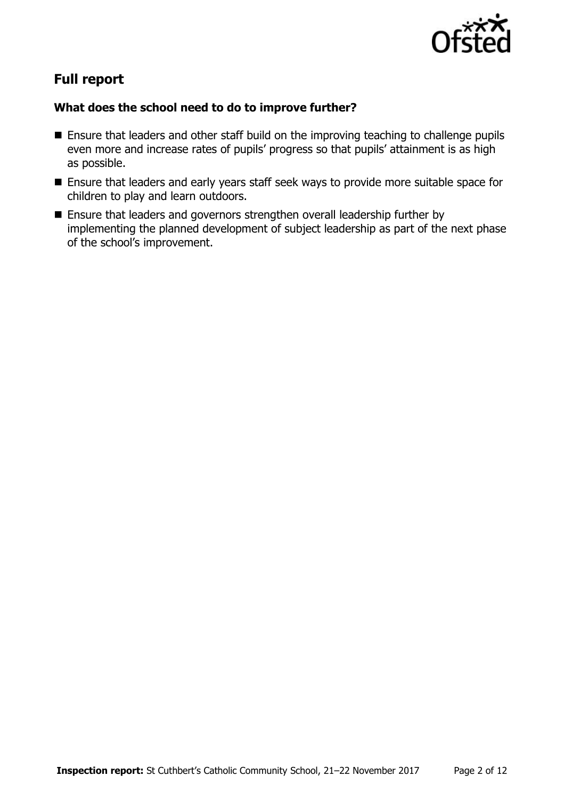

# **Full report**

#### **What does the school need to do to improve further?**

- **Ensure that leaders and other staff build on the improving teaching to challenge pupils** even more and increase rates of pupils' progress so that pupils' attainment is as high as possible.
- **Ensure that leaders and early years staff seek ways to provide more suitable space for** children to play and learn outdoors.
- Ensure that leaders and governors strengthen overall leadership further by implementing the planned development of subject leadership as part of the next phase of the school's improvement.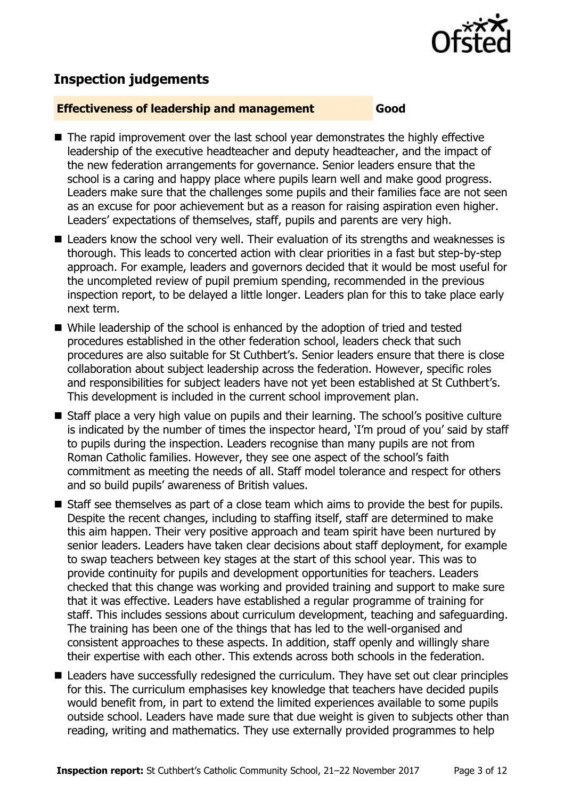

## **Inspection judgements**

#### **Effectiveness of leadership and management Good**

- The rapid improvement over the last school year demonstrates the highly effective leadership of the executive headteacher and deputy headteacher, and the impact of the new federation arrangements for governance. Senior leaders ensure that the school is a caring and happy place where pupils learn well and make good progress. Leaders make sure that the challenges some pupils and their families face are not seen as an excuse for poor achievement but as a reason for raising aspiration even higher. Leaders' expectations of themselves, staff, pupils and parents are very high.
- Leaders know the school very well. Their evaluation of its strengths and weaknesses is thorough. This leads to concerted action with clear priorities in a fast but step-by-step approach. For example, leaders and governors decided that it would be most useful for the uncompleted review of pupil premium spending, recommended in the previous inspection report, to be delayed a little longer. Leaders plan for this to take place early next term.
- While leadership of the school is enhanced by the adoption of tried and tested procedures established in the other federation school, leaders check that such procedures are also suitable for St Cuthbert's. Senior leaders ensure that there is close collaboration about subject leadership across the federation. However, specific roles and responsibilities for subject leaders have not yet been established at St Cuthbert's. This development is included in the current school improvement plan.
- Staff place a very high value on pupils and their learning. The school's positive culture is indicated by the number of times the inspector heard, 'I'm proud of you' said by staff to pupils during the inspection. Leaders recognise than many pupils are not from Roman Catholic families. However, they see one aspect of the school's faith commitment as meeting the needs of all. Staff model tolerance and respect for others and so build pupils' awareness of British values.
- Staff see themselves as part of a close team which aims to provide the best for pupils. Despite the recent changes, including to staffing itself, staff are determined to make this aim happen. Their very positive approach and team spirit have been nurtured by senior leaders. Leaders have taken clear decisions about staff deployment, for example to swap teachers between key stages at the start of this school year. This was to provide continuity for pupils and development opportunities for teachers. Leaders checked that this change was working and provided training and support to make sure that it was effective. Leaders have established a regular programme of training for staff. This includes sessions about curriculum development, teaching and safeguarding. The training has been one of the things that has led to the well-organised and consistent approaches to these aspects. In addition, staff openly and willingly share their expertise with each other. This extends across both schools in the federation.
- **Leaders have successfully redesigned the curriculum. They have set out clear principles** for this. The curriculum emphasises key knowledge that teachers have decided pupils would benefit from, in part to extend the limited experiences available to some pupils outside school. Leaders have made sure that due weight is given to subjects other than reading, writing and mathematics. They use externally provided programmes to help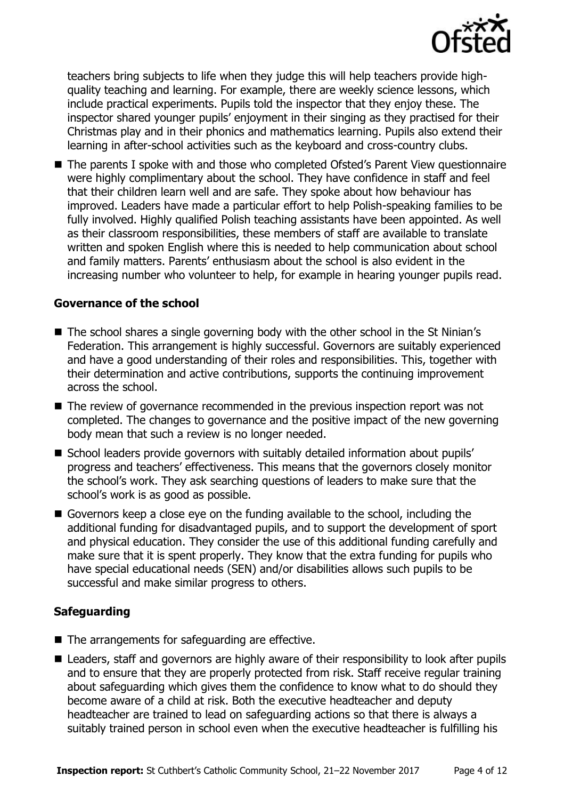

teachers bring subjects to life when they judge this will help teachers provide highquality teaching and learning. For example, there are weekly science lessons, which include practical experiments. Pupils told the inspector that they enjoy these. The inspector shared younger pupils' enjoyment in their singing as they practised for their Christmas play and in their phonics and mathematics learning. Pupils also extend their learning in after-school activities such as the keyboard and cross-country clubs.

 The parents I spoke with and those who completed Ofsted's Parent View questionnaire were highly complimentary about the school. They have confidence in staff and feel that their children learn well and are safe. They spoke about how behaviour has improved. Leaders have made a particular effort to help Polish-speaking families to be fully involved. Highly qualified Polish teaching assistants have been appointed. As well as their classroom responsibilities, these members of staff are available to translate written and spoken English where this is needed to help communication about school and family matters. Parents' enthusiasm about the school is also evident in the increasing number who volunteer to help, for example in hearing younger pupils read.

#### **Governance of the school**

- The school shares a single governing body with the other school in the St Ninian's Federation. This arrangement is highly successful. Governors are suitably experienced and have a good understanding of their roles and responsibilities. This, together with their determination and active contributions, supports the continuing improvement across the school.
- The review of governance recommended in the previous inspection report was not completed. The changes to governance and the positive impact of the new governing body mean that such a review is no longer needed.
- School leaders provide governors with suitably detailed information about pupils' progress and teachers' effectiveness. This means that the governors closely monitor the school's work. They ask searching questions of leaders to make sure that the school's work is as good as possible.
- Governors keep a close eye on the funding available to the school, including the additional funding for disadvantaged pupils, and to support the development of sport and physical education. They consider the use of this additional funding carefully and make sure that it is spent properly. They know that the extra funding for pupils who have special educational needs (SEN) and/or disabilities allows such pupils to be successful and make similar progress to others.

### **Safeguarding**

- The arrangements for safeguarding are effective.
- Leaders, staff and governors are highly aware of their responsibility to look after pupils and to ensure that they are properly protected from risk. Staff receive regular training about safeguarding which gives them the confidence to know what to do should they become aware of a child at risk. Both the executive headteacher and deputy headteacher are trained to lead on safeguarding actions so that there is always a suitably trained person in school even when the executive headteacher is fulfilling his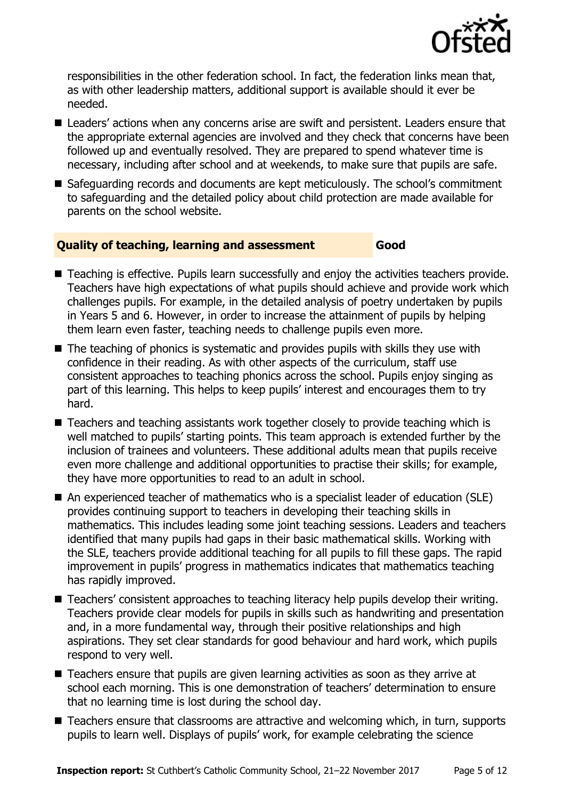

responsibilities in the other federation school. In fact, the federation links mean that, as with other leadership matters, additional support is available should it ever be needed.

- Leaders' actions when any concerns arise are swift and persistent. Leaders ensure that the appropriate external agencies are involved and they check that concerns have been followed up and eventually resolved. They are prepared to spend whatever time is necessary, including after school and at weekends, to make sure that pupils are safe.
- Safeguarding records and documents are kept meticulously. The school's commitment to safeguarding and the detailed policy about child protection are made available for parents on the school website.

### **Quality of teaching, learning and assessment Good**

- Teaching is effective. Pupils learn successfully and enjoy the activities teachers provide. Teachers have high expectations of what pupils should achieve and provide work which challenges pupils. For example, in the detailed analysis of poetry undertaken by pupils in Years 5 and 6. However, in order to increase the attainment of pupils by helping them learn even faster, teaching needs to challenge pupils even more.
- The teaching of phonics is systematic and provides pupils with skills they use with confidence in their reading. As with other aspects of the curriculum, staff use consistent approaches to teaching phonics across the school. Pupils enjoy singing as part of this learning. This helps to keep pupils' interest and encourages them to try hard.
- Teachers and teaching assistants work together closely to provide teaching which is well matched to pupils' starting points. This team approach is extended further by the inclusion of trainees and volunteers. These additional adults mean that pupils receive even more challenge and additional opportunities to practise their skills; for example, they have more opportunities to read to an adult in school.
- An experienced teacher of mathematics who is a specialist leader of education (SLE) provides continuing support to teachers in developing their teaching skills in mathematics. This includes leading some joint teaching sessions. Leaders and teachers identified that many pupils had gaps in their basic mathematical skills. Working with the SLE, teachers provide additional teaching for all pupils to fill these gaps. The rapid improvement in pupils' progress in mathematics indicates that mathematics teaching has rapidly improved.
- Teachers' consistent approaches to teaching literacy help pupils develop their writing. Teachers provide clear models for pupils in skills such as handwriting and presentation and, in a more fundamental way, through their positive relationships and high aspirations. They set clear standards for good behaviour and hard work, which pupils respond to very well.
- Teachers ensure that pupils are given learning activities as soon as they arrive at school each morning. This is one demonstration of teachers' determination to ensure that no learning time is lost during the school day.
- Teachers ensure that classrooms are attractive and welcoming which, in turn, supports pupils to learn well. Displays of pupils' work, for example celebrating the science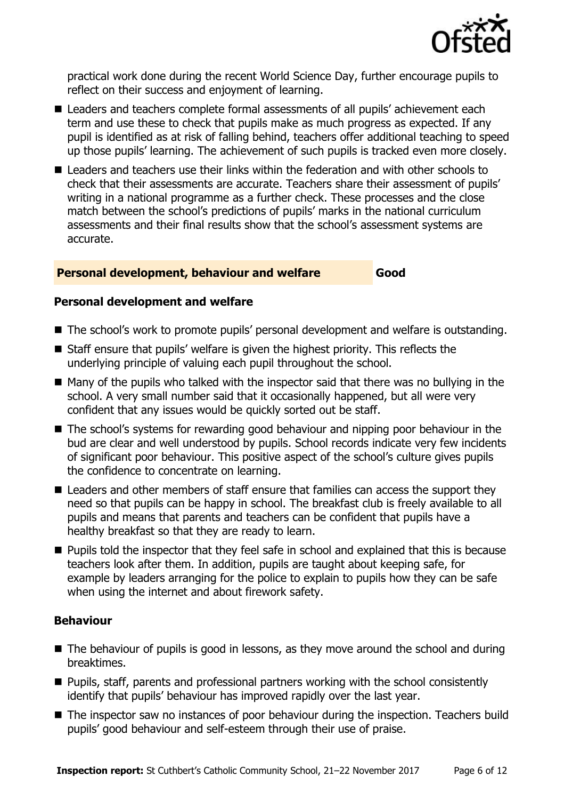

practical work done during the recent World Science Day, further encourage pupils to reflect on their success and enjoyment of learning.

- Leaders and teachers complete formal assessments of all pupils' achievement each term and use these to check that pupils make as much progress as expected. If any pupil is identified as at risk of falling behind, teachers offer additional teaching to speed up those pupils' learning. The achievement of such pupils is tracked even more closely.
- Leaders and teachers use their links within the federation and with other schools to check that their assessments are accurate. Teachers share their assessment of pupils' writing in a national programme as a further check. These processes and the close match between the school's predictions of pupils' marks in the national curriculum assessments and their final results show that the school's assessment systems are accurate.

#### **Personal development, behaviour and welfare Good**

#### **Personal development and welfare**

- The school's work to promote pupils' personal development and welfare is outstanding.
- Staff ensure that pupils' welfare is given the highest priority. This reflects the underlying principle of valuing each pupil throughout the school.
- $\blacksquare$  Many of the pupils who talked with the inspector said that there was no bullying in the school. A very small number said that it occasionally happened, but all were very confident that any issues would be quickly sorted out be staff.
- The school's systems for rewarding good behaviour and nipping poor behaviour in the bud are clear and well understood by pupils. School records indicate very few incidents of significant poor behaviour. This positive aspect of the school's culture gives pupils the confidence to concentrate on learning.
- Leaders and other members of staff ensure that families can access the support they need so that pupils can be happy in school. The breakfast club is freely available to all pupils and means that parents and teachers can be confident that pupils have a healthy breakfast so that they are ready to learn.
- **Pupils told the inspector that they feel safe in school and explained that this is because** teachers look after them. In addition, pupils are taught about keeping safe, for example by leaders arranging for the police to explain to pupils how they can be safe when using the internet and about firework safety.

### **Behaviour**

- The behaviour of pupils is good in lessons, as they move around the school and during breaktimes.
- Pupils, staff, parents and professional partners working with the school consistently identify that pupils' behaviour has improved rapidly over the last year.
- The inspector saw no instances of poor behaviour during the inspection. Teachers build pupils' good behaviour and self-esteem through their use of praise.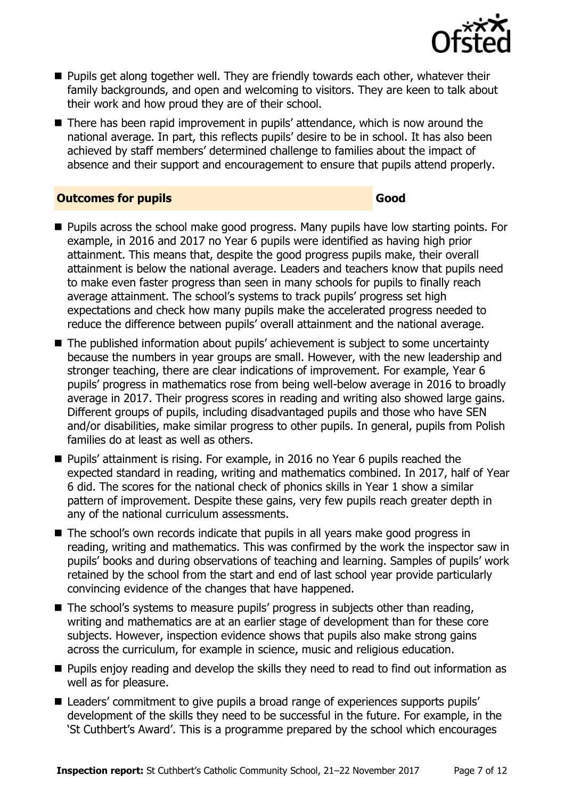

- **Pupils get along together well. They are friendly towards each other, whatever their** family backgrounds, and open and welcoming to visitors. They are keen to talk about their work and how proud they are of their school.
- There has been rapid improvement in pupils' attendance, which is now around the national average. In part, this reflects pupils' desire to be in school. It has also been achieved by staff members' determined challenge to families about the impact of absence and their support and encouragement to ensure that pupils attend properly.

#### **Outcomes for pupils Good**

- **Pupils across the school make good progress. Many pupils have low starting points. For** example, in 2016 and 2017 no Year 6 pupils were identified as having high prior attainment. This means that, despite the good progress pupils make, their overall attainment is below the national average. Leaders and teachers know that pupils need to make even faster progress than seen in many schools for pupils to finally reach average attainment. The school's systems to track pupils' progress set high expectations and check how many pupils make the accelerated progress needed to reduce the difference between pupils' overall attainment and the national average.
- The published information about pupils' achievement is subject to some uncertainty because the numbers in year groups are small. However, with the new leadership and stronger teaching, there are clear indications of improvement. For example, Year 6 pupils' progress in mathematics rose from being well-below average in 2016 to broadly average in 2017. Their progress scores in reading and writing also showed large gains. Different groups of pupils, including disadvantaged pupils and those who have SEN and/or disabilities, make similar progress to other pupils. In general, pupils from Polish families do at least as well as others.
- Pupils' attainment is rising. For example, in 2016 no Year 6 pupils reached the expected standard in reading, writing and mathematics combined. In 2017, half of Year 6 did. The scores for the national check of phonics skills in Year 1 show a similar pattern of improvement. Despite these gains, very few pupils reach greater depth in any of the national curriculum assessments.
- The school's own records indicate that pupils in all years make good progress in reading, writing and mathematics. This was confirmed by the work the inspector saw in pupils' books and during observations of teaching and learning. Samples of pupils' work retained by the school from the start and end of last school year provide particularly convincing evidence of the changes that have happened.
- The school's systems to measure pupils' progress in subjects other than reading, writing and mathematics are at an earlier stage of development than for these core subjects. However, inspection evidence shows that pupils also make strong gains across the curriculum, for example in science, music and religious education.
- **Pupils enjoy reading and develop the skills they need to read to find out information as** well as for pleasure.
- Leaders' commitment to give pupils a broad range of experiences supports pupils' development of the skills they need to be successful in the future. For example, in the 'St Cuthbert's Award'. This is a programme prepared by the school which encourages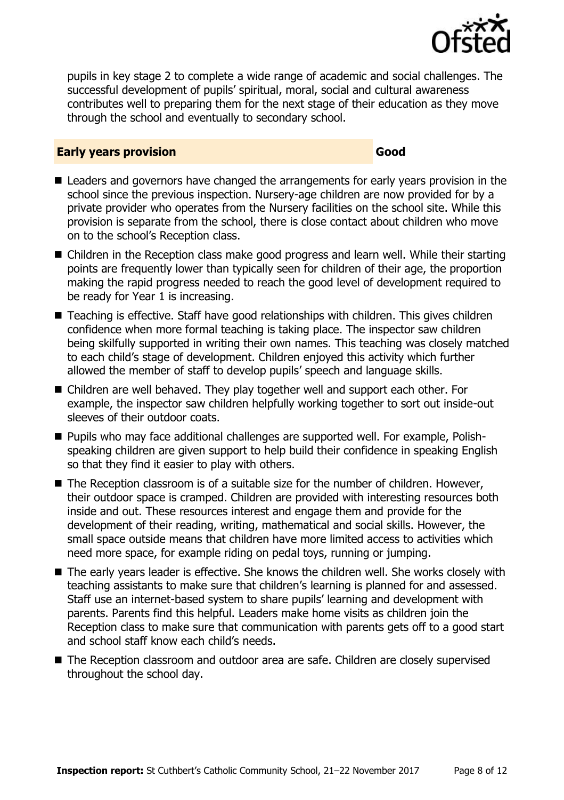

pupils in key stage 2 to complete a wide range of academic and social challenges. The successful development of pupils' spiritual, moral, social and cultural awareness contributes well to preparing them for the next stage of their education as they move through the school and eventually to secondary school.

#### **Early years provision Good Good**

- Leaders and governors have changed the arrangements for early years provision in the school since the previous inspection. Nursery-age children are now provided for by a private provider who operates from the Nursery facilities on the school site. While this provision is separate from the school, there is close contact about children who move on to the school's Reception class.
- Children in the Reception class make good progress and learn well. While their starting points are frequently lower than typically seen for children of their age, the proportion making the rapid progress needed to reach the good level of development required to be ready for Year 1 is increasing.
- Teaching is effective. Staff have good relationships with children. This gives children confidence when more formal teaching is taking place. The inspector saw children being skilfully supported in writing their own names. This teaching was closely matched to each child's stage of development. Children enjoyed this activity which further allowed the member of staff to develop pupils' speech and language skills.
- Children are well behaved. They play together well and support each other. For example, the inspector saw children helpfully working together to sort out inside-out sleeves of their outdoor coats.
- Pupils who may face additional challenges are supported well. For example, Polishspeaking children are given support to help build their confidence in speaking English so that they find it easier to play with others.
- The Reception classroom is of a suitable size for the number of children. However, their outdoor space is cramped. Children are provided with interesting resources both inside and out. These resources interest and engage them and provide for the development of their reading, writing, mathematical and social skills. However, the small space outside means that children have more limited access to activities which need more space, for example riding on pedal toys, running or jumping.
- The early years leader is effective. She knows the children well. She works closely with teaching assistants to make sure that children's learning is planned for and assessed. Staff use an internet-based system to share pupils' learning and development with parents. Parents find this helpful. Leaders make home visits as children join the Reception class to make sure that communication with parents gets off to a good start and school staff know each child's needs.
- The Reception classroom and outdoor area are safe. Children are closely supervised throughout the school day.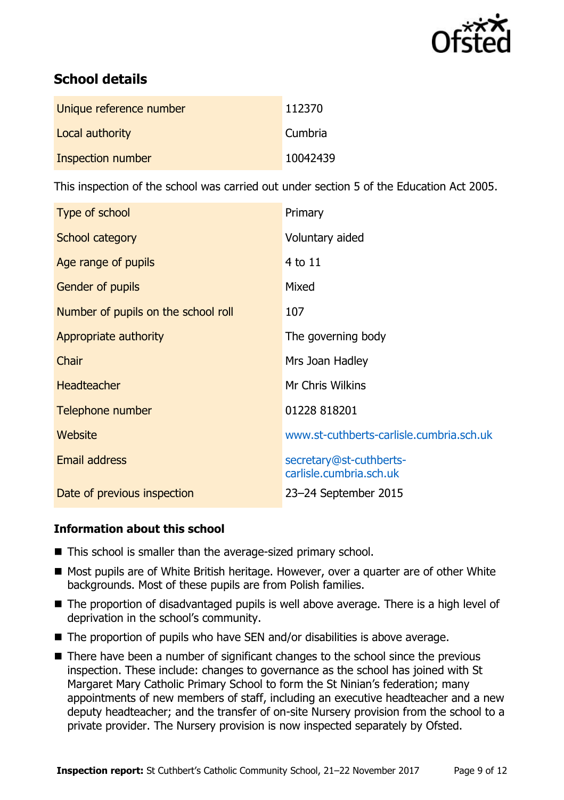

# **School details**

| Unique reference number | 112370   |
|-------------------------|----------|
| Local authority         | Cumbria  |
| Inspection number       | 10042439 |

This inspection of the school was carried out under section 5 of the Education Act 2005.

| Type of school                      | Primary                                            |
|-------------------------------------|----------------------------------------------------|
| School category                     | Voluntary aided                                    |
| Age range of pupils                 | 4 to 11                                            |
| Gender of pupils                    | Mixed                                              |
| Number of pupils on the school roll | 107                                                |
| Appropriate authority               | The governing body                                 |
| Chair                               | Mrs Joan Hadley                                    |
| <b>Headteacher</b>                  | Mr Chris Wilkins                                   |
| Telephone number                    | 01228 818201                                       |
| Website                             | www.st-cuthberts-carlisle.cumbria.sch.uk           |
| <b>Email address</b>                | secretary@st-cuthberts-<br>carlisle.cumbria.sch.uk |
| Date of previous inspection         | 23-24 September 2015                               |

### **Information about this school**

- This school is smaller than the average-sized primary school.
- Most pupils are of White British heritage. However, over a quarter are of other White backgrounds. Most of these pupils are from Polish families.
- The proportion of disadvantaged pupils is well above average. There is a high level of deprivation in the school's community.
- The proportion of pupils who have SEN and/or disabilities is above average.
- There have been a number of significant changes to the school since the previous inspection. These include: changes to governance as the school has joined with St Margaret Mary Catholic Primary School to form the St Ninian's federation; many appointments of new members of staff, including an executive headteacher and a new deputy headteacher; and the transfer of on-site Nursery provision from the school to a private provider. The Nursery provision is now inspected separately by Ofsted.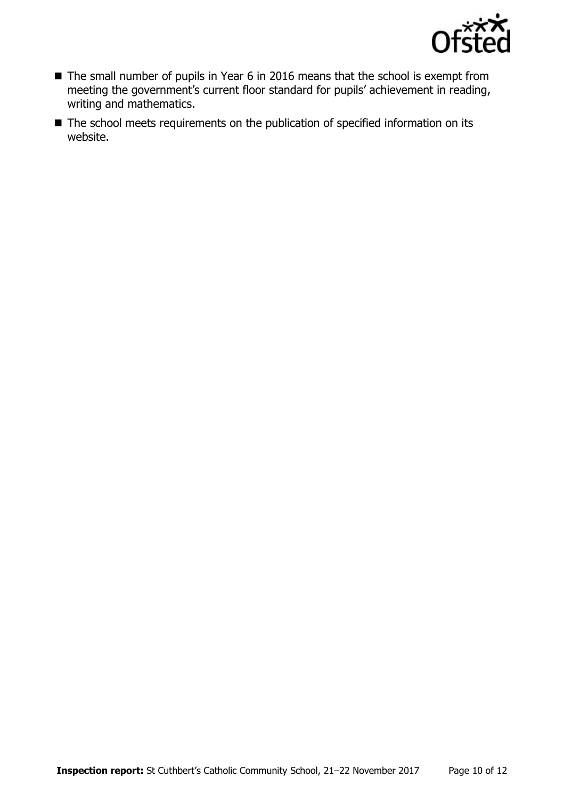

- The small number of pupils in Year 6 in 2016 means that the school is exempt from meeting the government's current floor standard for pupils' achievement in reading, writing and mathematics.
- The school meets requirements on the publication of specified information on its website.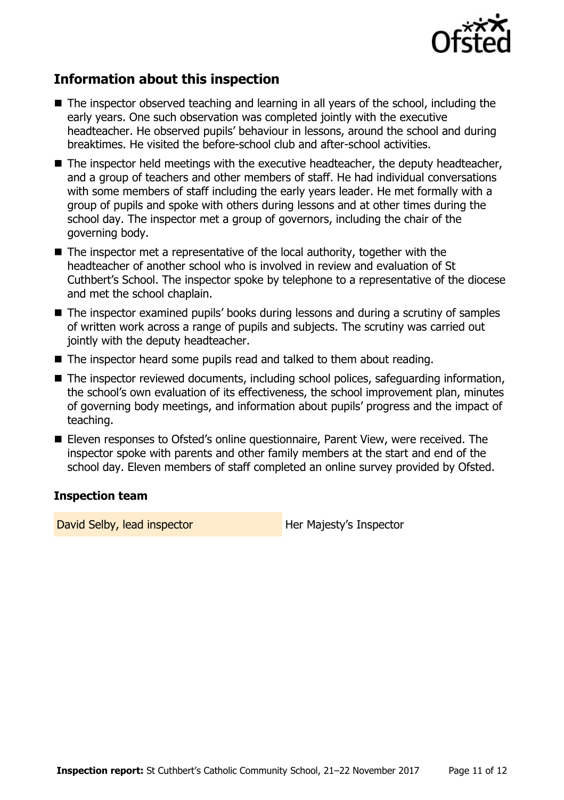

# **Information about this inspection**

- The inspector observed teaching and learning in all years of the school, including the early years. One such observation was completed jointly with the executive headteacher. He observed pupils' behaviour in lessons, around the school and during breaktimes. He visited the before-school club and after-school activities.
- $\blacksquare$  The inspector held meetings with the executive headteacher, the deputy headteacher, and a group of teachers and other members of staff. He had individual conversations with some members of staff including the early years leader. He met formally with a group of pupils and spoke with others during lessons and at other times during the school day. The inspector met a group of governors, including the chair of the governing body.
- The inspector met a representative of the local authority, together with the headteacher of another school who is involved in review and evaluation of St Cuthbert's School. The inspector spoke by telephone to a representative of the diocese and met the school chaplain.
- The inspector examined pupils' books during lessons and during a scrutiny of samples of written work across a range of pupils and subjects. The scrutiny was carried out jointly with the deputy headteacher.
- The inspector heard some pupils read and talked to them about reading.
- The inspector reviewed documents, including school polices, safeguarding information, the school's own evaluation of its effectiveness, the school improvement plan, minutes of governing body meetings, and information about pupils' progress and the impact of teaching.
- Eleven responses to Ofsted's online questionnaire, Parent View, were received. The inspector spoke with parents and other family members at the start and end of the school day. Eleven members of staff completed an online survey provided by Ofsted.

#### **Inspection team**

David Selby, lead inspector **Her Majesty's Inspector**